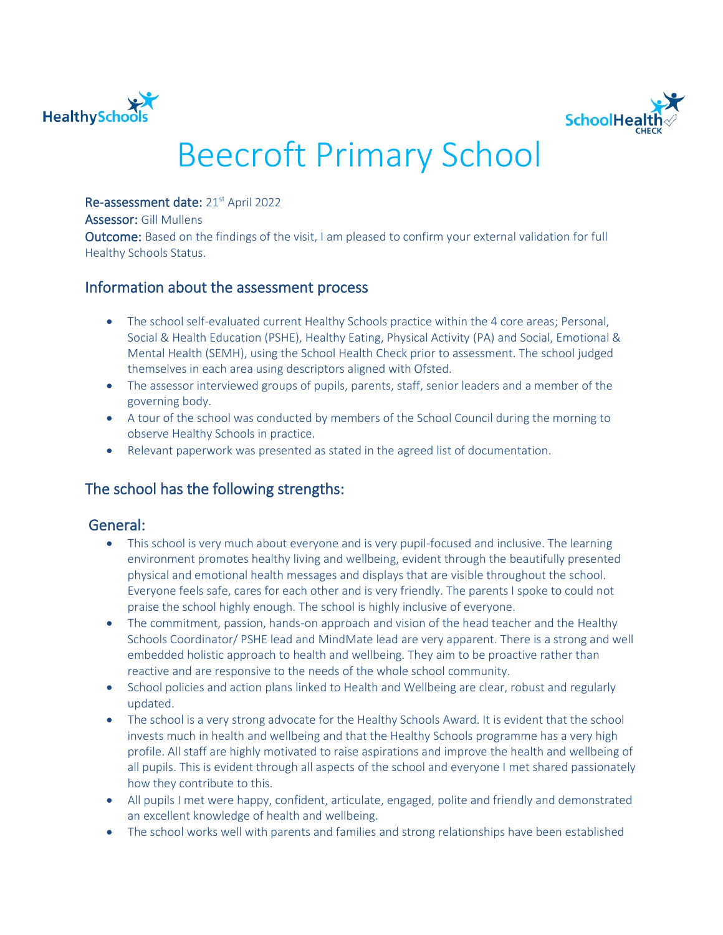



# Beecroft Primary School

Re-assessment date: 21<sup>st</sup> April 2022

Assessor: Gill Mullens

Outcome: Based on the findings of the visit, I am pleased to confirm your external validation for full Healthy Schools Status.

## Information about the assessment process

- The school self-evaluated current Healthy Schools practice within the 4 core areas; Personal, Social & Health Education (PSHE), Healthy Eating, Physical Activity (PA) and Social, Emotional & Mental Health (SEMH), using the School Health Check prior to assessment. The school judged themselves in each area using descriptors aligned with Ofsted.
- The assessor interviewed groups of pupils, parents, staff, senior leaders and a member of the governing body.
- A tour of the school was conducted by members of the School Council during the morning to observe Healthy Schools in practice.
- Relevant paperwork was presented as stated in the agreed list of documentation.

# The school has the following strengths:

## General:

- This school is very much about everyone and is very pupil-focused and inclusive. The learning environment promotes healthy living and wellbeing, evident through the beautifully presented physical and emotional health messages and displays that are visible throughout the school. Everyone feels safe, cares for each other and is very friendly. The parents I spoke to could not praise the school highly enough. The school is highly inclusive of everyone.
- The commitment, passion, hands-on approach and vision of the head teacher and the Healthy Schools Coordinator/ PSHE lead and MindMate lead are very apparent. There is a strong and well embedded holistic approach to health and wellbeing. They aim to be proactive rather than reactive and are responsive to the needs of the whole school community.
- School policies and action plans linked to Health and Wellbeing are clear, robust and regularly updated.
- The school is a very strong advocate for the Healthy Schools Award. It is evident that the school invests much in health and wellbeing and that the Healthy Schools programme has a very high profile. All staff are highly motivated to raise aspirations and improve the health and wellbeing of all pupils. This is evident through all aspects of the school and everyone I met shared passionately how they contribute to this.
- All pupils I met were happy, confident, articulate, engaged, polite and friendly and demonstrated an excellent knowledge of health and wellbeing.
- The school works well with parents and families and strong relationships have been established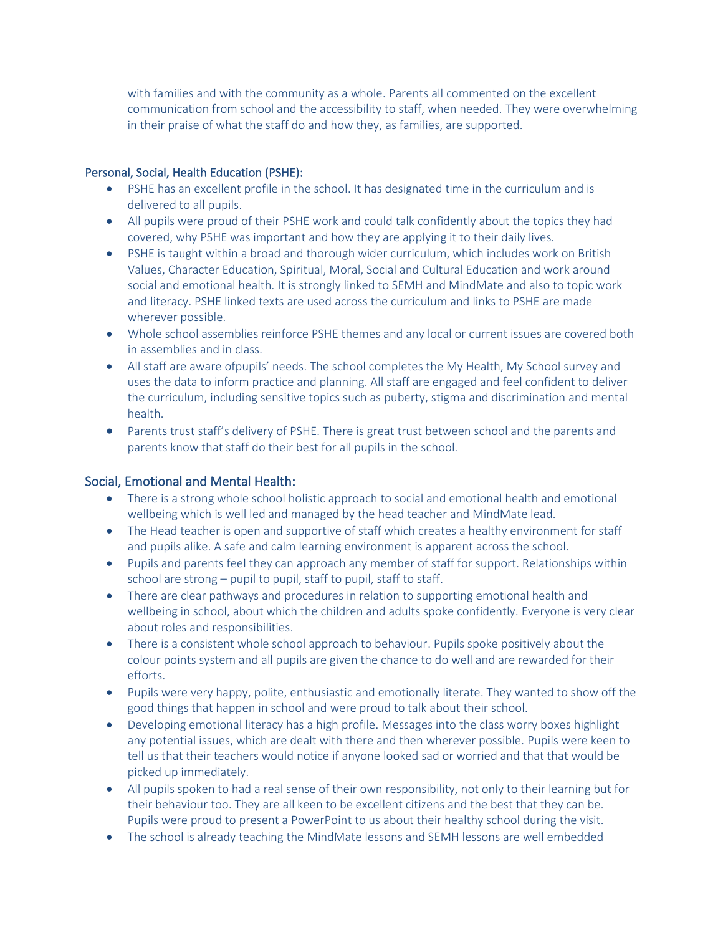with families and with the community as a whole. Parents all commented on the excellent communication from school and the accessibility to staff, when needed. They were overwhelming in their praise of what the staff do and how they, as families, are supported.

### Personal, Social, Health Education (PSHE):

- PSHE has an excellent profile in the school. It has designated time in the curriculum and is delivered to all pupils.
- All pupils were proud of their PSHE work and could talk confidently about the topics they had covered, why PSHE was important and how they are applying it to their daily lives.
- PSHE is taught within a broad and thorough wider curriculum, which includes work on British Values, Character Education, Spiritual, Moral, Social and Cultural Education and work around social and emotional health. It is strongly linked to SEMH and MindMate and also to topic work and literacy. PSHE linked texts are used across the curriculum and links to PSHE are made wherever possible.
- Whole school assemblies reinforce PSHE themes and any local or current issues are covered both in assemblies and in class.
- All staff are aware ofpupils' needs. The school completes the My Health, My School survey and uses the data to inform practice and planning. All staff are engaged and feel confident to deliver the curriculum, including sensitive topics such as puberty, stigma and discrimination and mental health.
- Parents trust staff's delivery of PSHE. There is great trust between school and the parents and parents know that staff do their best for all pupils in the school.

## Social, Emotional and Mental Health:

- There is a strong whole school holistic approach to social and emotional health and emotional wellbeing which is well led and managed by the head teacher and MindMate lead.
- The Head teacher is open and supportive of staff which creates a healthy environment for staff and pupils alike. A safe and calm learning environment is apparent across the school.
- Pupils and parents feel they can approach any member of staff for support. Relationships within school are strong – pupil to pupil, staff to pupil, staff to staff.
- There are clear pathways and procedures in relation to supporting emotional health and wellbeing in school, about which the children and adults spoke confidently. Everyone is very clear about roles and responsibilities.
- There is a consistent whole school approach to behaviour. Pupils spoke positively about the colour points system and all pupils are given the chance to do well and are rewarded for their efforts.
- Pupils were very happy, polite, enthusiastic and emotionally literate. They wanted to show off the good things that happen in school and were proud to talk about their school.
- Developing emotional literacy has a high profile. Messages into the class worry boxes highlight any potential issues, which are dealt with there and then wherever possible. Pupils were keen to tell us that their teachers would notice if anyone looked sad or worried and that that would be picked up immediately.
- All pupils spoken to had a real sense of their own responsibility, not only to their learning but for their behaviour too. They are all keen to be excellent citizens and the best that they can be. Pupils were proud to present a PowerPoint to us about their healthy school during the visit.
- The school is already teaching the MindMate lessons and SEMH lessons are well embedded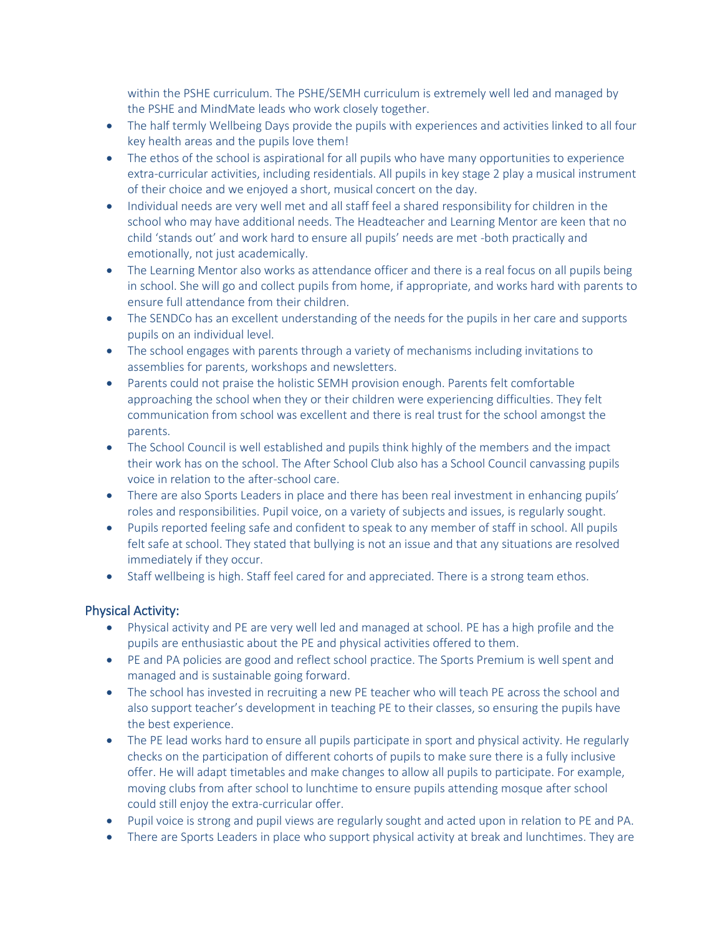within the PSHE curriculum. The PSHE/SEMH curriculum is extremely well led and managed by the PSHE and MindMate leads who work closely together.

- The half termly Wellbeing Days provide the pupils with experiences and activities linked to all four key health areas and the pupils love them!
- The ethos of the school is aspirational for all pupils who have many opportunities to experience extra-curricular activities, including residentials. All pupils in key stage 2 play a musical instrument of their choice and we enjoyed a short, musical concert on the day.
- Individual needs are very well met and all staff feel a shared responsibility for children in the school who may have additional needs. The Headteacher and Learning Mentor are keen that no child 'stands out' and work hard to ensure all pupils' needs are met -both practically and emotionally, not just academically.
- The Learning Mentor also works as attendance officer and there is a real focus on all pupils being in school. She will go and collect pupils from home, if appropriate, and works hard with parents to ensure full attendance from their children.
- The SENDCo has an excellent understanding of the needs for the pupils in her care and supports pupils on an individual level.
- The school engages with parents through a variety of mechanisms including invitations to assemblies for parents, workshops and newsletters.
- Parents could not praise the holistic SEMH provision enough. Parents felt comfortable approaching the school when they or their children were experiencing difficulties. They felt communication from school was excellent and there is real trust for the school amongst the parents.
- The School Council is well established and pupils think highly of the members and the impact their work has on the school. The After School Club also has a School Council canvassing pupils voice in relation to the after-school care.
- There are also Sports Leaders in place and there has been real investment in enhancing pupils' roles and responsibilities. Pupil voice, on a variety of subjects and issues, is regularly sought.
- Pupils reported feeling safe and confident to speak to any member of staff in school. All pupils felt safe at school. They stated that bullying is not an issue and that any situations are resolved immediately if they occur.
- Staff wellbeing is high. Staff feel cared for and appreciated. There is a strong team ethos.

## Physical Activity:

- Physical activity and PE are very well led and managed at school. PE has a high profile and the pupils are enthusiastic about the PE and physical activities offered to them.
- PE and PA policies are good and reflect school practice. The Sports Premium is well spent and managed and is sustainable going forward.
- The school has invested in recruiting a new PE teacher who will teach PE across the school and also support teacher's development in teaching PE to their classes, so ensuring the pupils have the best experience.
- The PE lead works hard to ensure all pupils participate in sport and physical activity. He regularly checks on the participation of different cohorts of pupils to make sure there is a fully inclusive offer. He will adapt timetables and make changes to allow all pupils to participate. For example, moving clubs from after school to lunchtime to ensure pupils attending mosque after school could still enjoy the extra-curricular offer.
- Pupil voice is strong and pupil views are regularly sought and acted upon in relation to PE and PA.
- There are Sports Leaders in place who support physical activity at break and lunchtimes. They are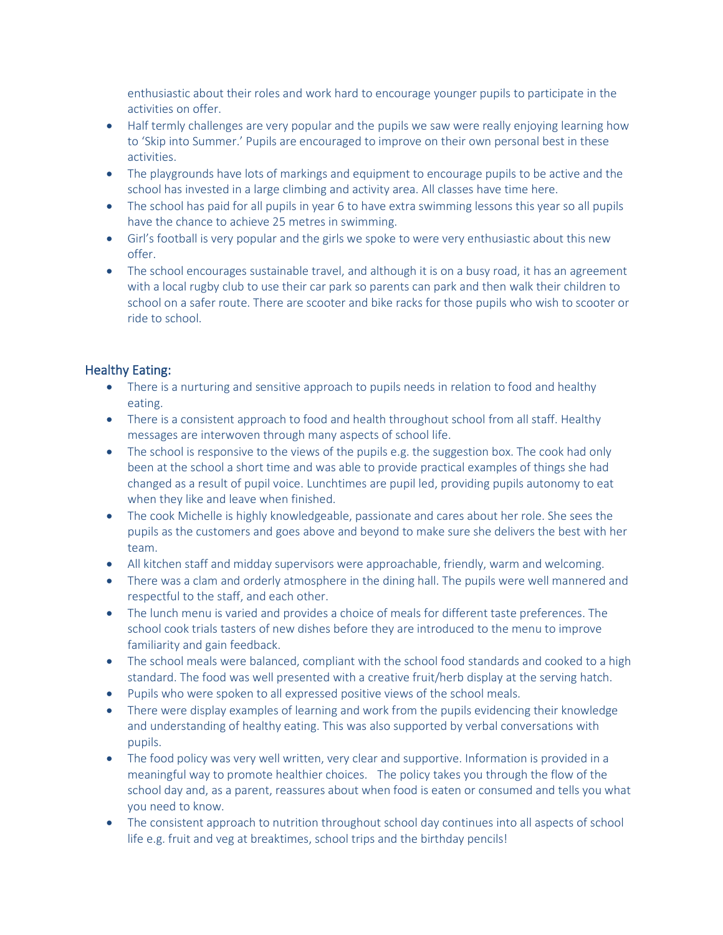enthusiastic about their roles and work hard to encourage younger pupils to participate in the activities on offer.

- Half termly challenges are very popular and the pupils we saw were really enjoying learning how to 'Skip into Summer.' Pupils are encouraged to improve on their own personal best in these activities.
- The playgrounds have lots of markings and equipment to encourage pupils to be active and the school has invested in a large climbing and activity area. All classes have time here.
- The school has paid for all pupils in year 6 to have extra swimming lessons this year so all pupils have the chance to achieve 25 metres in swimming.
- Girl's football is very popular and the girls we spoke to were very enthusiastic about this new offer.
- The school encourages sustainable travel, and although it is on a busy road, it has an agreement with a local rugby club to use their car park so parents can park and then walk their children to school on a safer route. There are scooter and bike racks for those pupils who wish to scooter or ride to school.

### Healthy Eating:

- There is a nurturing and sensitive approach to pupils needs in relation to food and healthy eating.
- There is a consistent approach to food and health throughout school from all staff. Healthy messages are interwoven through many aspects of school life.
- The school is responsive to the views of the pupils e.g. the suggestion box. The cook had only been at the school a short time and was able to provide practical examples of things she had changed as a result of pupil voice. Lunchtimes are pupil led, providing pupils autonomy to eat when they like and leave when finished.
- The cook Michelle is highly knowledgeable, passionate and cares about her role. She sees the pupils as the customers and goes above and beyond to make sure she delivers the best with her team.
- All kitchen staff and midday supervisors were approachable, friendly, warm and welcoming.
- There was a clam and orderly atmosphere in the dining hall. The pupils were well mannered and respectful to the staff, and each other.
- The lunch menu is varied and provides a choice of meals for different taste preferences. The school cook trials tasters of new dishes before they are introduced to the menu to improve familiarity and gain feedback.
- The school meals were balanced, compliant with the school food standards and cooked to a high standard. The food was well presented with a creative fruit/herb display at the serving hatch.
- Pupils who were spoken to all expressed positive views of the school meals.
- There were display examples of learning and work from the pupils evidencing their knowledge and understanding of healthy eating. This was also supported by verbal conversations with pupils.
- The food policy was very well written, very clear and supportive. Information is provided in a meaningful way to promote healthier choices. The policy takes you through the flow of the school day and, as a parent, reassures about when food is eaten or consumed and tells you what you need to know.
- The consistent approach to nutrition throughout school day continues into all aspects of school life e.g. fruit and veg at breaktimes, school trips and the birthday pencils!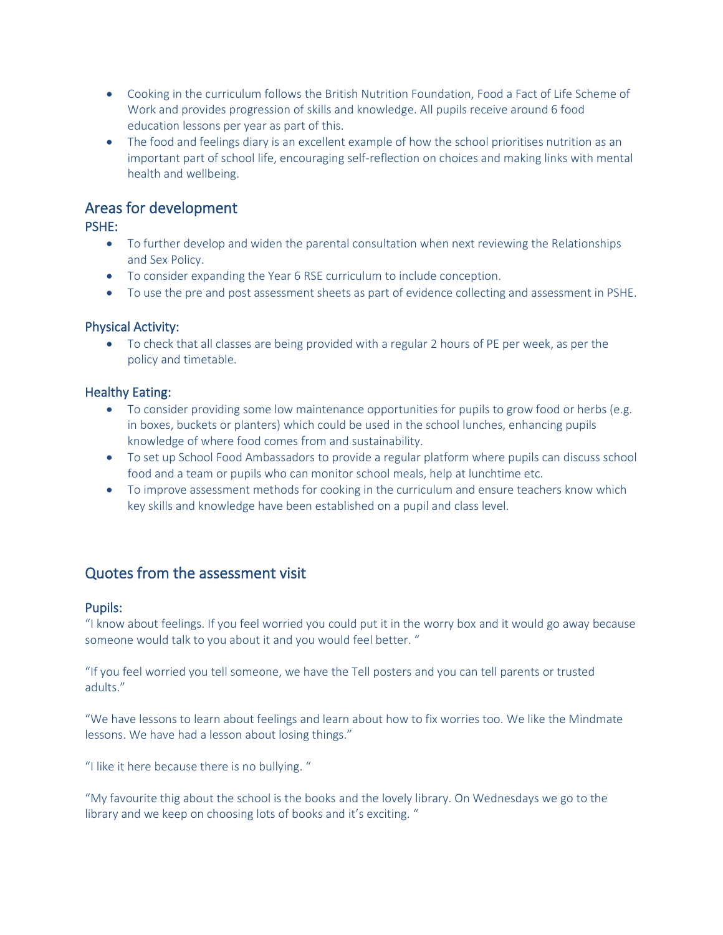- Cooking in the curriculum follows the British Nutrition Foundation, Food a Fact of Life Scheme of Work and provides progression of skills and knowledge. All pupils receive around 6 food education lessons per year as part of this.
- The food and feelings diary is an excellent example of how the school prioritises nutrition as an important part of school life, encouraging self-reflection on choices and making links with mental health and wellbeing.

## Areas for development

PSHE:

- To further develop and widen the parental consultation when next reviewing the Relationships and Sex Policy.
- To consider expanding the Year 6 RSE curriculum to include conception.
- To use the pre and post assessment sheets as part of evidence collecting and assessment in PSHE.

## Physical Activity:

• To check that all classes are being provided with a regular 2 hours of PE per week, as per the policy and timetable.

### Healthy Eating:

- To consider providing some low maintenance opportunities for pupils to grow food or herbs (e.g. in boxes, buckets or planters) which could be used in the school lunches, enhancing pupils knowledge of where food comes from and sustainability.
- To set up School Food Ambassadors to provide a regular platform where pupils can discuss school food and a team or pupils who can monitor school meals, help at lunchtime etc.
- To improve assessment methods for cooking in the curriculum and ensure teachers know which key skills and knowledge have been established on a pupil and class level.

## Quotes from the assessment visit

#### Pupils:

"I know about feelings. If you feel worried you could put it in the worry box and it would go away because someone would talk to you about it and you would feel better. "

"If you feel worried you tell someone, we have the Tell posters and you can tell parents or trusted adults."

"We have lessons to learn about feelings and learn about how to fix worries too. We like the Mindmate lessons. We have had a lesson about losing things."

"I like it here because there is no bullying. "

"My favourite thig about the school is the books and the lovely library. On Wednesdays we go to the library and we keep on choosing lots of books and it's exciting. "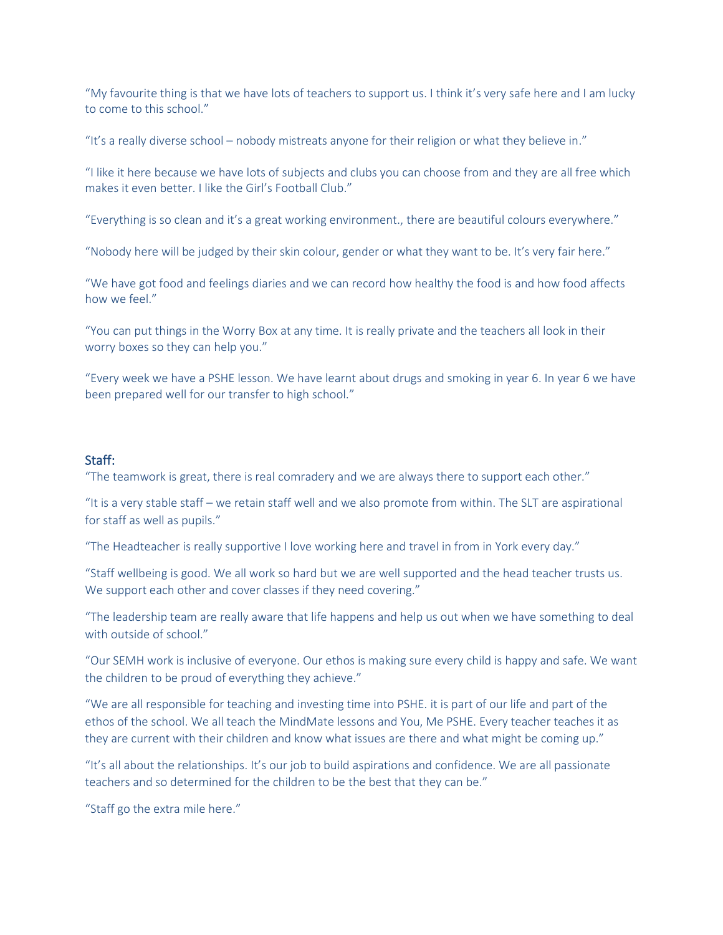"My favourite thing is that we have lots of teachers to support us. I think it's very safe here and I am lucky to come to this school."

"It's a really diverse school – nobody mistreats anyone for their religion or what they believe in."

"I like it here because we have lots of subjects and clubs you can choose from and they are all free which makes it even better. I like the Girl's Football Club."

"Everything is so clean and it's a great working environment., there are beautiful colours everywhere."

"Nobody here will be judged by their skin colour, gender or what they want to be. It's very fair here."

"We have got food and feelings diaries and we can record how healthy the food is and how food affects how we feel."

"You can put things in the Worry Box at any time. It is really private and the teachers all look in their worry boxes so they can help you."

"Every week we have a PSHE lesson. We have learnt about drugs and smoking in year 6. In year 6 we have been prepared well for our transfer to high school."

#### Staff:

"The teamwork is great, there is real comradery and we are always there to support each other."

"It is a very stable staff – we retain staff well and we also promote from within. The SLT are aspirational for staff as well as pupils."

"The Headteacher is really supportive I love working here and travel in from in York every day."

"Staff wellbeing is good. We all work so hard but we are well supported and the head teacher trusts us. We support each other and cover classes if they need covering."

"The leadership team are really aware that life happens and help us out when we have something to deal with outside of school."

"Our SEMH work is inclusive of everyone. Our ethos is making sure every child is happy and safe. We want the children to be proud of everything they achieve."

"We are all responsible for teaching and investing time into PSHE. it is part of our life and part of the ethos of the school. We all teach the MindMate lessons and You, Me PSHE. Every teacher teaches it as they are current with their children and know what issues are there and what might be coming up."

"It's all about the relationships. It's our job to build aspirations and confidence. We are all passionate teachers and so determined for the children to be the best that they can be."

"Staff go the extra mile here."